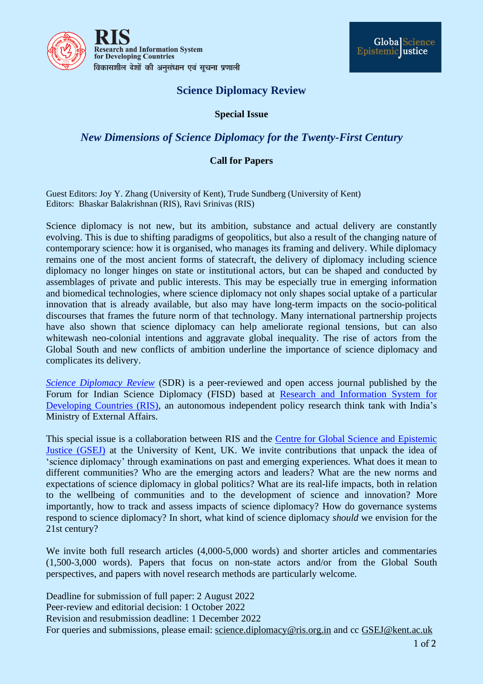

# **Science Diplomacy Review**

### **Special Issue**

## *New Dimensions of Science Diplomacy for the Twenty-First Century*

### **Call for Papers**

Guest Editors: Joy Y. Zhang (University of Kent), Trude Sundberg (University of Kent) Editors: Bhaskar Balakrishnan (RIS), Ravi Srinivas (RIS)

Science diplomacy is not new, but its ambition, substance and actual delivery are constantly evolving. This is due to shifting paradigms of geopolitics, but also a result of the changing nature of contemporary science: how it is organised, who manages its framing and delivery. While diplomacy remains one of the most ancient forms of statecraft, the delivery of diplomacy including science diplomacy no longer hinges on state or institutional actors, but can be shaped and conducted by assemblages of private and public interests. This may be especially true in emerging information and biomedical technologies, where science diplomacy not only shapes social uptake of a particular innovation that is already available, but also may have long-term impacts on the socio-political discourses that frames the future norm of that technology. Many international partnership projects have also shown that science diplomacy can help ameliorate regional tensions, but can also whitewash neo-colonial intentions and aggravate global inequality. The rise of actors from the Global South and new conflicts of ambition underline the importance of science diplomacy and complicates its delivery.

*Science Diplomacy Review* (SDR) is a peer-reviewed and open access journal published by the Forum for Indian Science Diplomacy (FISD) based at Research and [Information](https://www.ris.org.in/) System for [Developing](https://www.ris.org.in/) Countries (RIS), an autonomous independent policy research think tank with India's Ministry of External Affairs.

This special issue is a collaboration between RIS and the Centre for Global Science and [Epistemic](https://research.kent.ac.uk/global-science-and-epistemic-justice/) Justice [\(GSEJ\)](https://research.kent.ac.uk/global-science-and-epistemic-justice/) at the University of Kent, UK. We invite contributions that unpack the idea of 'science diplomacy' through examinations on past and emerging experiences. What does it mean to different communities? Who are the emerging actors and leaders? What are the new norms and expectations of science diplomacy in global politics? What are its real-life impacts, both in relation to the wellbeing of communities and to the development of science and innovation? More importantly, how to track and assess impacts of science diplomacy? How do governance systems respond to science diplomacy? In short, what kind of science diplomacy *should* we envision for the 21st century?

We invite both full research articles  $(4,000-5,000$  words) and shorter articles and commentaries (1,500-3,000 words). Papers that focus on non-state actors and/or from the Global South perspectives, and papers with novel research methods are particularly welcome.

Deadline for submission of full paper: 2 August 2022 Peer-review and editorial decision: 1 October 2022 Revision and resubmission deadline: 1 December 2022 For queries and submissions, please email: [science.diplomacy@ris.org.in](mailto:science.diplomacy@ris.org.in) and cc [GSEJ@kent.ac.uk](mailto:GSEJ@kent.ac.uk)